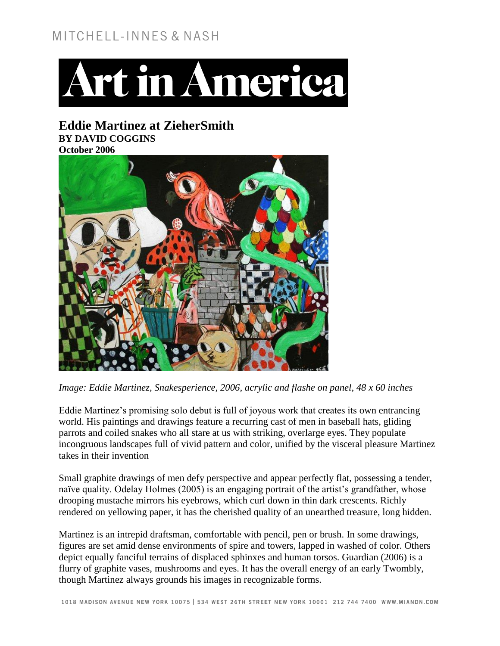## MITCHELL-INNES & NASH



**Eddie Martinez at ZieherSmith BY DAVID COGGINS October 2006**



*Image: Eddie Martinez, Snakesperience, 2006, acrylic and flashe on panel, 48 x 60 inches*

Eddie Martinez's promising solo debut is full of joyous work that creates its own entrancing world. His paintings and drawings feature a recurring cast of men in baseball hats, gliding parrots and coiled snakes who all stare at us with striking, overlarge eyes. They populate incongruous landscapes full of vivid pattern and color, unified by the visceral pleasure Martinez takes in their invention

Small graphite drawings of men defy perspective and appear perfectly flat, possessing a tender, naïve quality. Odelay Holmes (2005) is an engaging portrait of the artist's grandfather, whose drooping mustache mirrors his eyebrows, which curl down in thin dark crescents. Richly rendered on yellowing paper, it has the cherished quality of an unearthed treasure, long hidden.

Martinez is an intrepid draftsman, comfortable with pencil, pen or brush. In some drawings, figures are set amid dense environments of spire and towers, lapped in washed of color. Others depict equally fanciful terrains of displaced sphinxes and human torsos. Guardian (2006) is a flurry of graphite vases, mushrooms and eyes. It has the overall energy of an early Twombly, though Martinez always grounds his images in recognizable forms.